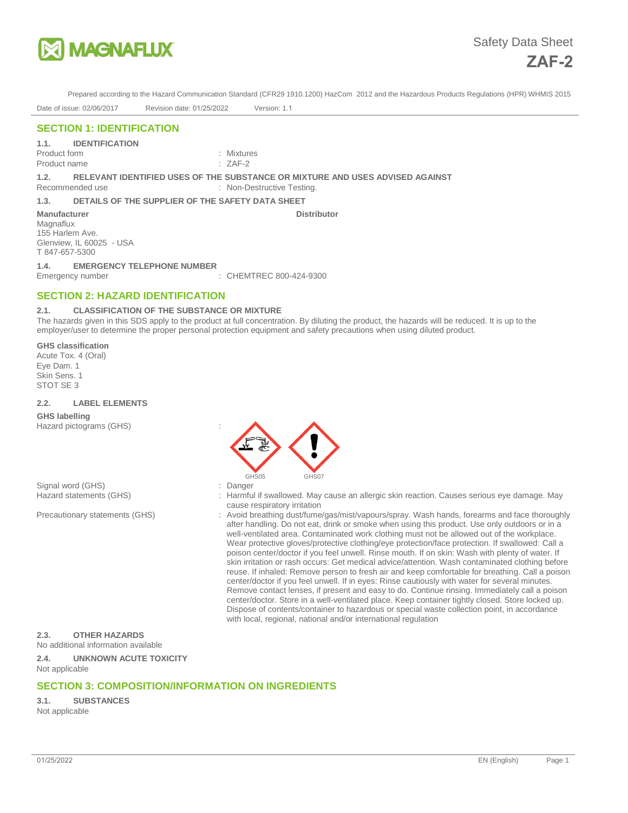

**Distributor Manufacturer** Manufacturer Manufacturer Manufacturer Manufacturer Manufacturer Manufacturer Manufacturer

Prepared according to the Hazard Communication Standard (CFR29 1910.1200) HazCom 2012 and the Hazardous Products Regulations (HPR) WHMIS 2015

Date of issue: 02/06/2017 Revision date: 01/25/2022 Version: 1.1

# **SECTION 1: IDENTIFICATION**

**1.1. IDENTIFICATION** 

Product form : Mixtures

**1.2. RELEVANT IDENTIFIED USES OF THE SUBSTANCE OR MIXTURE AND USES ADVISED AGAINST** 

Recommended use : Non-Destructive Testing.

**1.3. DETAILS OF THE SUPPLIER OF THE SAFETY DATA SHEET** 

#### **Manufacturer**

Product name

Magnaflux 155 Harlem Ave. Glenview, IL 60025 - USA T 847-657-5300

**1.4. EMERGENCY TELEPHONE NUMBER** 

Emergency number : CHEMTREC 800-424-9300

# **SECTION 2: HAZARD IDENTIFICATION**

## **2.1. CLASSIFICATION OF THE SUBSTANCE OR MIXTURE**

The hazards given in this SDS apply to the product at full concentration. By diluting the product, the hazards will be reduced. It is up to the employer/user to determine the proper personal protection equipment and safety precautions when using diluted product.

#### **GHS classification**

Acute Tox. 4 (Oral) Eye Dam. 1 Skin Sens. 1 STOT SE 3

#### **2.2. LABEL ELEMENTS**

**GHS labelling**  Hazard pictograms (GHS) :

Signal word (GHS)  $\qquad \qquad$ : Danger





- Hazard statements (GHS) : Harmful if swallowed. May cause an allergic skin reaction. Causes serious eye damage. May cause respiratory irritation
- Precautionary statements (GHS) : Avoid breathing dust/fume/gas/mist/vapours/spray. Wash hands, forearms and face thoroughly after handling. Do not eat, drink or smoke when using this product. Use only outdoors or in a well-ventilated area. Contaminated work clothing must not be allowed out of the workplace. Wear protective gloves/protective clothing/eye protection/face protection. If swallowed: Call a poison center/doctor if you feel unwell. Rinse mouth. If on skin: Wash with plenty of water. If skin irritation or rash occurs: Get medical advice/attention. Wash contaminated clothing before reuse. If inhaled: Remove person to fresh air and keep comfortable for breathing. Call a poison center/doctor if you feel unwell. If in eyes: Rinse cautiously with water for several minutes. Remove contact lenses, if present and easy to do. Continue rinsing. Immediately call a poison center/doctor. Store in a well-ventilated place. Keep container tightly closed. Store locked up. Dispose of contents/container to hazardous or special waste collection point, in accordance with local, regional, national and/or international regulation

## **2.3. OTHER HAZARDS**

No additional information available

**2.4. UNKNOWN ACUTE TOXICITY**  Not applicable

# **SECTION 3: COMPOSITION/INFORMATION ON INGREDIENTS**

**3.1. SUBSTANCES**  Not applicable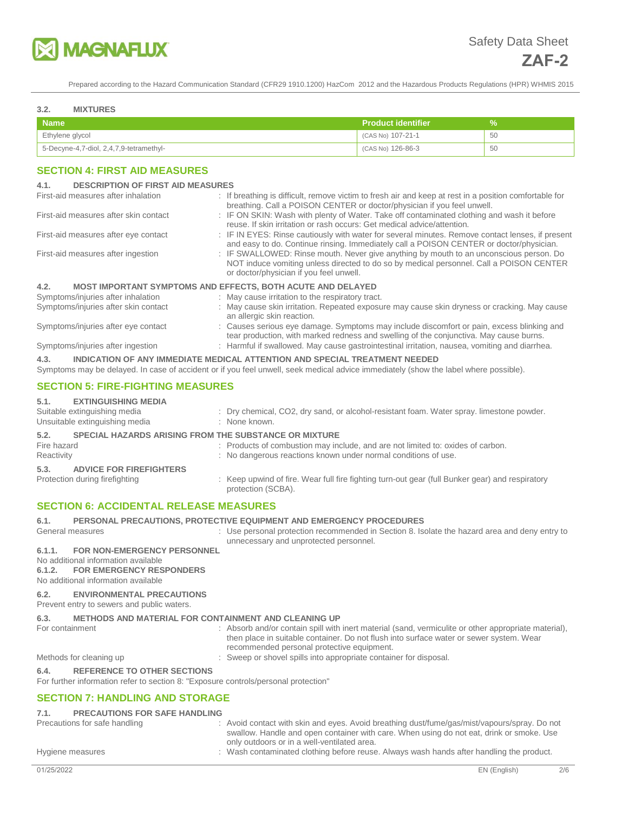

#### **3.2. MIXTURES**

| <b>Name</b>                                           | <b>Product identifier</b> |    |
|-------------------------------------------------------|---------------------------|----|
| Ethylene glycol                                       | (CAS No) 107-21-1         | 50 |
| $\overline{5}$ -Decyne-4,7-diol, 2,4,7,9-tetramethyl- | (CAS No) 126-86-3         | 50 |

## **SECTION 4: FIRST AID MEASURES**

#### **4.1. DESCRIPTION OF FIRST AID MEASURES**

| First-aid measures after inhalation      | : If breathing is difficult, remove victim to fresh air and keep at rest in a position comfortable for<br>breathing. Call a POISON CENTER or doctor/physician if you feel unwell.                                            |
|------------------------------------------|------------------------------------------------------------------------------------------------------------------------------------------------------------------------------------------------------------------------------|
| First-aid measures after skin contact    | : IF ON SKIN: Wash with plenty of Water. Take off contaminated clothing and wash it before<br>reuse. If skin irritation or rash occurs: Get medical advice/attention.                                                        |
| First-aid measures after eye contact     | : IF IN EYES: Rinse cautiously with water for several minutes. Remove contact lenses, if present<br>and easy to do. Continue rinsing. Immediately call a POISON CENTER or doctor/physician.                                  |
| First-aid measures after ingestion       | : IF SWALLOWED: Rinse mouth. Never give anything by mouth to an unconscious person. Do<br>NOT induce vomiting unless directed to do so by medical personnel. Call a POISON CENTER<br>or doctor/physician if you feel unwell. |
| 4.2.                                     | <b>MOST IMPORTANT SYMPTOMS AND EFFECTS, BOTH ACUTE AND DELAYED</b>                                                                                                                                                           |
| Symptoms/injuries after inhalation       | : May cause irritation to the respiratory tract.                                                                                                                                                                             |
| Symptoms/injuries after skin contact     | : May cause skin irritation. Repeated exposure may cause skin dryness or cracking. May cause<br>an allergic skin reaction.                                                                                                   |
| Symptoms/injuries after eye contact      | : Causes serious eye damage. Symptoms may include discomfort or pain, excess blinking and<br>tear production, with marked redness and swelling of the conjunctiva. May cause burns.                                          |
| Symptoms/injuries after ingestion        | : Harmful if swallowed. May cause gastrointestinal irritation, nausea, vomiting and diarrhea.                                                                                                                                |
| 4.3.                                     | INDICATION OF ANY IMMEDIATE MEDICAL ATTENTION AND SPECIAL TREATMENT NEEDED<br>Symptoms may be delayed. In case of accident or if you feel unwell, seek medical advice immediately (show the label where possible).           |
| <b>SECTION 5: FIRE-FIGHTING MEASURES</b> |                                                                                                                                                                                                                              |
| FVTINAUDOUMA BERNA                       |                                                                                                                                                                                                                              |

## **5.1. EXTINGUISHING MEDIA**

| .           |                                                                |                                                                                                                       |
|-------------|----------------------------------------------------------------|-----------------------------------------------------------------------------------------------------------------------|
|             | Suitable extinguishing media<br>Unsuitable extinguishing media | : Dry chemical, CO2, dry sand, or alcohol-resistant foam. Water spray. limestone powder.<br>: None known.             |
| 5.2.        | <b>SPECIAL HAZARDS ARISING FROM THE SUBSTANCE OR MIXTURE</b>   |                                                                                                                       |
| Fire hazard |                                                                | : Products of combustion may include, and are not limited to: oxides of carbon.                                       |
| Reactivity  |                                                                | : No dangerous reactions known under normal conditions of use.                                                        |
| 5.3.        | <b>ADVICE FOR FIREFIGHTERS</b>                                 |                                                                                                                       |
|             | Protection during firefighting                                 | : Keep upwind of fire. Wear full fire fighting turn-out gear (full Bunker gear) and respiratory<br>protection (SCBA). |

## **SECTION 6: ACCIDENTAL RELEASE MEASURES**

#### **6.1. PERSONAL PRECAUTIONS, PROTECTIVE EQUIPMENT AND EMERGENCY PROCEDURES**

General measures **interval measures** : Use personal protection recommended in Section 8. Isolate the hazard area and deny entry to unnecessary and unprotected personnel.

# **6.1.1. FOR NON-EMERGENCY PERSONNEL**

No additional information available **6.1.2. FOR EMERGENCY RESPONDERS** 

No additional information available

## **6.2. ENVIRONMENTAL PRECAUTIONS**

Prevent entry to sewers and public waters.

# **6.3. METHODS AND MATERIAL FOR CONTAINMENT AND CLEANING UP**

For containment : Absorb and/or contain spill with inert material (sand, vermiculite or other appropriate material), then place in suitable container. Do not flush into surface water or sewer system. Wear recommended personal protective equipment.

Methods for cleaning up  $\blacksquare$ : Sweep or shovel spills into appropriate container for disposal.

#### **6.4. REFERENCE TO OTHER SECTIONS**

For further information refer to section 8: "Exposure controls/personal protection"

# **SECTION 7: HANDLING AND STORAGE**

# **7.1. PRECAUTIONS FOR SAFE HANDLING**

- 
- Precautions for safe handling **interpretatal in the state of the state of the state of the state of the state of the state of the state of the state of the state of the state of the state of the state of the state of the s** swallow. Handle and open container with care. When using do not eat, drink or smoke. Use only outdoors or in a well-ventilated area.

Hygiene measures **interpret in the contaminated clothing before reuse.** Always wash hands after handling the product.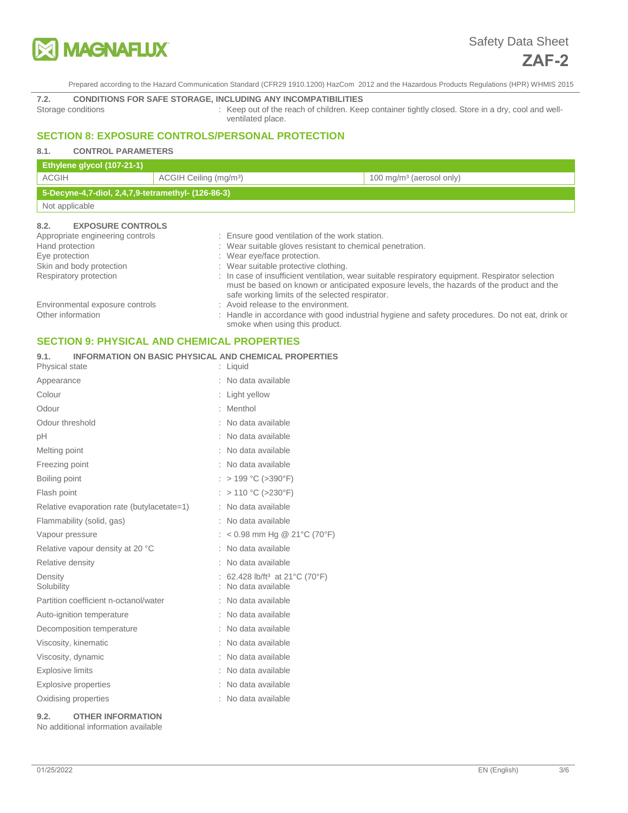

# **7.2. CONDITIONS FOR SAFE STORAGE, INCLUDING ANY INCOMPATIBILITIES**

: Keep out of the reach of children. Keep container tightly closed. Store in a dry, cool and wellventilated place.

# **SECTION 8: EXPOSURE CONTROLS/PERSONAL PROTECTION**

# **8.1. CONTROL PARAMETERS**

| Ethylene glycol (107-21-1)                         |                                    |                                      |
|----------------------------------------------------|------------------------------------|--------------------------------------|
| ACGIH                                              | ACGIH Ceiling (mg/m <sup>3</sup> ) | 100 mg/m <sup>3</sup> (aerosol only) |
| 5-Decyne-4,7-diol, 2,4,7,9-tetramethyl- (126-86-3) |                                    |                                      |
| Not applicable                                     |                                    |                                      |
|                                                    |                                    |                                      |

## **8.2. EXPOSURE CONTROLS**

| Appropriate engineering controls<br>Hand protection | : Ensure good ventilation of the work station.<br>: Wear suitable gloves resistant to chemical penetration.                                                                                                                                      |
|-----------------------------------------------------|--------------------------------------------------------------------------------------------------------------------------------------------------------------------------------------------------------------------------------------------------|
| Eye protection                                      | : Wear eye/face protection.                                                                                                                                                                                                                      |
| Skin and body protection                            | : Wear suitable protective clothing.                                                                                                                                                                                                             |
| Respiratory protection                              | : In case of insufficient ventilation, wear suitable respiratory equipment. Respirator selection<br>must be based on known or anticipated exposure levels, the hazards of the product and the<br>safe working limits of the selected respirator. |
| Environmental exposure controls                     | : Avoid release to the environment.                                                                                                                                                                                                              |
| Other information                                   | : Handle in accordance with good industrial hygiene and safety procedures. Do not eat, drink or                                                                                                                                                  |

smoke when using this product.

# **SECTION 9: PHYSICAL AND CHEMICAL PROPERTIES**

| INFORMATION ON BASIC PHYSICAL AND CHEMICAL PROPERTIES<br>9.1. |  |
|---------------------------------------------------------------|--|
|---------------------------------------------------------------|--|

| Physical state                             | : Liquid                                                      |
|--------------------------------------------|---------------------------------------------------------------|
| Appearance                                 | No data available                                             |
| Colour                                     | : Light yellow                                                |
| Odour                                      | Menthol                                                       |
| Odour threshold                            | No data available                                             |
| рH                                         | No data available                                             |
| Melting point                              | No data available                                             |
| Freezing point                             | No data available                                             |
| Boiling point                              | $> 199 °C$ ( $>390 °F$ )                                      |
| Flash point                                | $> 110 °C$ ( $>230 °F$ )                                      |
| Relative evaporation rate (butylacetate=1) | No data available                                             |
| Flammability (solid, gas)                  | No data available                                             |
| Vapour pressure                            | < 0.98 mm Hg @ 21°C (70°F)                                    |
| Relative vapour density at 20 °C           | No data available                                             |
| Relative density                           | No data available                                             |
| Density<br>Solubility                      | 62.428 lb/ft <sup>3</sup> at 21°C (70°F)<br>No data available |
| Partition coefficient n-octanol/water      | No data available                                             |
| Auto-ignition temperature                  | No data available                                             |
| Decomposition temperature                  | No data available                                             |
| Viscosity, kinematic                       | No data available                                             |
| Viscosity, dynamic                         | No data available                                             |
| <b>Explosive limits</b>                    | No data available                                             |
| Explosive properties                       | No data available                                             |
| Oxidising properties                       | No data available                                             |
|                                            |                                                               |

## **9.2. OTHER INFORMATION**

No additional information available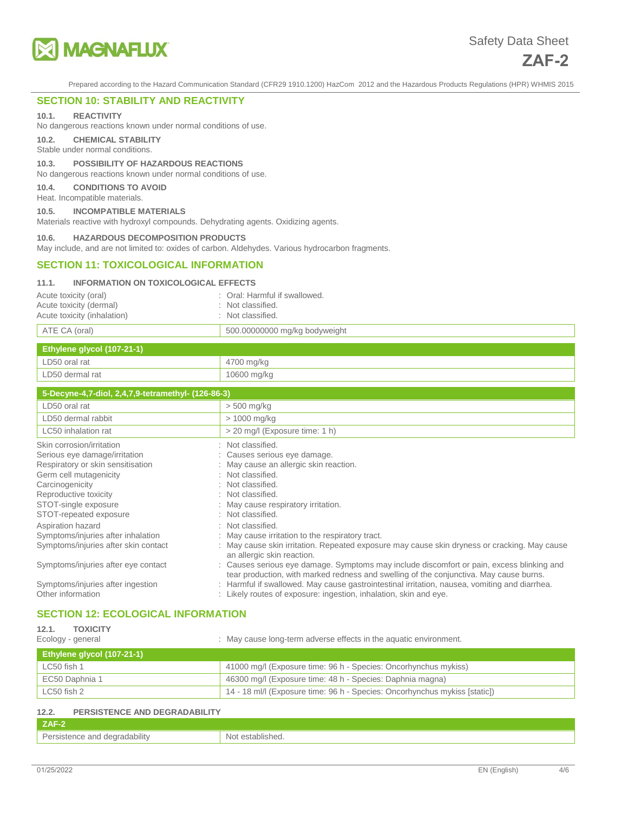

# **SECTION 10: STABILITY AND REACTIVITY**

#### **10.1. REACTIVITY**

No dangerous reactions known under normal conditions of use.

**10.2. CHEMICAL STABILITY** 

Stable under normal conditions.

## **10.3. POSSIBILITY OF HAZARDOUS REACTIONS**

No dangerous reactions known under normal conditions of use.

#### **10.4. CONDITIONS TO AVOID**

Heat. Incompatible materials.

#### **10.5. INCOMPATIBLE MATERIALS**

Materials reactive with hydroxyl compounds. Dehydrating agents. Oxidizing agents.

#### **10.6. HAZARDOUS DECOMPOSITION PRODUCTS**

May include, and are not limited to: oxides of carbon. Aldehydes. Various hydrocarbon fragments.

## **SECTION 11: TOXICOLOGICAL INFORMATION**

## **11.1. INFORMATION ON TOXICOLOGICAL EFFECTS**

| Acute toxicity (oral)       | : Oral: Harmful if swallowed. |
|-----------------------------|-------------------------------|
| Acute toxicity (dermal)     | : Not classified.             |
| Acute toxicity (inhalation) | : Not classified.             |
| ATE CA (oral)               | 500.00000000 mg/kg bodyweight |

| Ethylene glycol (107-21-1) |             |
|----------------------------|-------------|
| LD50 oral rat              | 4700 mg/kg  |
| LD50 dermal rat            | 10600 mg/kg |

| 5-Decyne-4,7-diol, 2,4,7,9-tetramethyl- (126-86-3)                                                                                                                                                                      |                                                                                                                                                                                                                                                                                                                                                                                                                                                                                                                                                                |  |
|-------------------------------------------------------------------------------------------------------------------------------------------------------------------------------------------------------------------------|----------------------------------------------------------------------------------------------------------------------------------------------------------------------------------------------------------------------------------------------------------------------------------------------------------------------------------------------------------------------------------------------------------------------------------------------------------------------------------------------------------------------------------------------------------------|--|
| LD50 oral rat                                                                                                                                                                                                           | $> 500$ mg/kg                                                                                                                                                                                                                                                                                                                                                                                                                                                                                                                                                  |  |
| LD50 dermal rabbit                                                                                                                                                                                                      | > 1000 mg/kg                                                                                                                                                                                                                                                                                                                                                                                                                                                                                                                                                   |  |
| LC50 inhalation rat                                                                                                                                                                                                     | > 20 mg/l (Exposure time: 1 h)                                                                                                                                                                                                                                                                                                                                                                                                                                                                                                                                 |  |
| Skin corrosion/irritation<br>Serious eye damage/irritation<br>Respiratory or skin sensitisation<br>Germ cell mutagenicity<br>Carcinogenicity<br>Reproductive toxicity<br>STOT-single exposure<br>STOT-repeated exposure | : Not classified.<br>: Causes serious eye damage.<br>: May cause an allergic skin reaction.<br>: Not classified.<br>: Not classified.<br>: Not classified.<br>: May cause respiratory irritation.<br>: Not classified.                                                                                                                                                                                                                                                                                                                                         |  |
| Aspiration hazard<br>Symptoms/injuries after inhalation<br>Symptoms/injuries after skin contact<br>Symptoms/injuries after eye contact<br>Symptoms/injuries after ingestion<br>Other information                        | : Not classified.<br>: May cause irritation to the respiratory tract.<br>: May cause skin irritation. Repeated exposure may cause skin dryness or cracking. May cause<br>an allergic skin reaction.<br>: Causes serious eye damage. Symptoms may include discomfort or pain, excess blinking and<br>tear production, with marked redness and swelling of the conjunctiva. May cause burns.<br>Harmful if swallowed. May cause gastrointestinal irritation, nausea, vomiting and diarrhea.<br>: Likely routes of exposure: ingestion, inhalation, skin and eye. |  |

# **SECTION 12: ECOLOGICAL INFORMATION**

| 12.1.<br><b>TOXICITY</b><br>: May cause long-term adverse effects in the aquatic environment.<br>Ecology - general |                                                                            |  |
|--------------------------------------------------------------------------------------------------------------------|----------------------------------------------------------------------------|--|
| Ethylene glycol (107-21-1)                                                                                         |                                                                            |  |
| LC50 fish 1                                                                                                        | 41000 mg/l (Exposure time: 96 h - Species: Oncorhynchus mykiss)            |  |
| EC50 Daphnia 1                                                                                                     | 46300 mg/l (Exposure time: 48 h - Species: Daphnia magna)                  |  |
| LC50 fish 2                                                                                                        | 14 - 18 ml/l (Exposure time: 96 h - Species: Oncorhynchus mykiss [static]) |  |

| 12.2.<br><b>PERSISTENCE AND DEGRADABILITY</b> |                  |  |
|-----------------------------------------------|------------------|--|
| ZAF-2                                         |                  |  |
| Persistence and degradability                 | Not established. |  |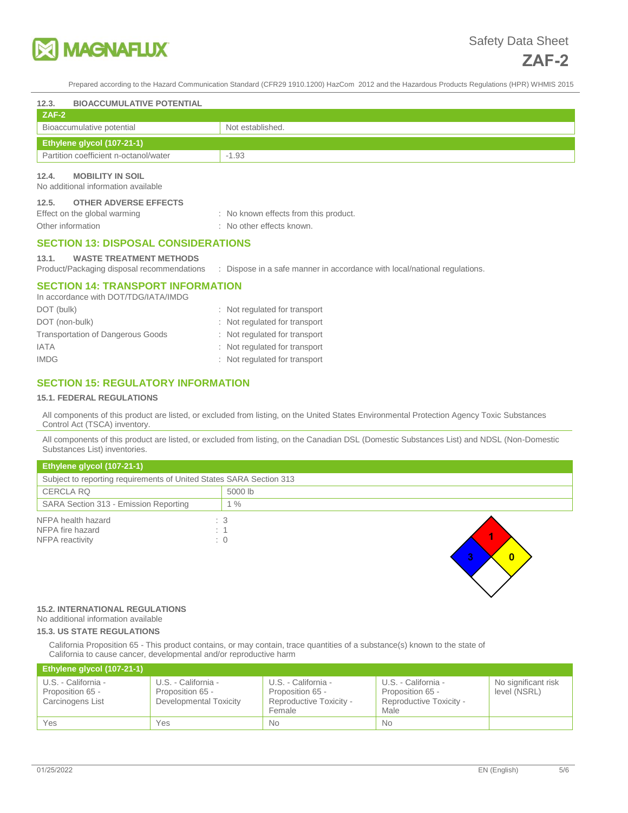

| 12.3.<br><b>BIOACCUMULATIVE POTENTIAL</b>                                                  |                                                                           |  |
|--------------------------------------------------------------------------------------------|---------------------------------------------------------------------------|--|
| $ZAF-2$                                                                                    |                                                                           |  |
| Bioaccumulative potential                                                                  | Not established.                                                          |  |
| Ethylene glycol (107-21-1)                                                                 |                                                                           |  |
| Partition coefficient n-octanol/water                                                      | $-1.93$                                                                   |  |
| <b>MOBILITY IN SOIL</b><br>12.4.<br>No additional information available                    |                                                                           |  |
| <b>OTHER ADVERSE EFFECTS</b><br>12.5.<br>Effect on the global warming<br>Other information | : No known effects from this product.<br>: No other effects known.        |  |
| <b>SECTION 13: DISPOSAL CONSIDERATIONS</b>                                                 |                                                                           |  |
| <b>WASTE TREATMENT METHODS</b><br>13.1.<br>Product/Packaging disposal recommendations      | : Dispose in a safe manner in accordance with local/national regulations. |  |
| <b>SECTION 14: TRANSPORT INFORMATION</b><br>In accordance with DOT/TDG/IATA/IMDG           |                                                                           |  |
| DOT (bulk)                                                                                 | : Not regulated for transport                                             |  |
| DOT (non-bulk)                                                                             | : Not regulated for transport                                             |  |
| <b>Transportation of Dangerous Goods</b>                                                   | : Not regulated for transport                                             |  |
| <b>IATA</b>                                                                                | Not regulated for transport                                               |  |
| <b>IMDG</b>                                                                                | Not regulated for transport                                               |  |

## **SECTION 15: REGULATORY INFORMATION**

#### **15.1. FEDERAL REGULATIONS**

All components of this product are listed, or excluded from listing, on the United States Environmental Protection Agency Toxic Substances Control Act (TSCA) inventory.

All components of this product are listed, or excluded from listing, on the Canadian DSL (Domestic Substances List) and NDSL (Non-Domestic Substances List) inventories.

| Ethylene glycol (107-21-1)                                          |            |  |
|---------------------------------------------------------------------|------------|--|
| Subject to reporting requirements of United States SARA Section 313 |            |  |
| <b>CERCLA RQ</b>                                                    | 5000 lb    |  |
| SARA Section 313 - Emission Reporting                               | $1\%$      |  |
| NFPA health hazard                                                  | : 3        |  |
| NFPA fire hazard                                                    | : 1        |  |
| NFPA reactivity                                                     | $\colon 0$ |  |
|                                                                     |            |  |

## **15.2. INTERNATIONAL REGULATIONS**

# No additional information available

**15.3. US STATE REGULATIONS** 

California Proposition 65 - This product contains, or may contain, trace quantities of a substance(s) known to the state of California to cause cancer, developmental and/or reproductive harm

| Ethylene glycol (107-21-1)                                  |                                                                   |                                                                              |                                                                            |                                     |
|-------------------------------------------------------------|-------------------------------------------------------------------|------------------------------------------------------------------------------|----------------------------------------------------------------------------|-------------------------------------|
| U.S. - California -<br>Proposition 65 -<br>Carcinogens List | U.S. - California -<br>Proposition 65 -<br>Developmental Toxicity | U.S. - California -<br>Proposition 65 -<br>Reproductive Toxicity -<br>Female | U.S. - California -<br>Proposition 65 -<br>Reproductive Toxicity -<br>Male | No significant risk<br>level (NSRL) |
| Yes                                                         | Yes                                                               | <b>No</b>                                                                    | <b>No</b>                                                                  |                                     |